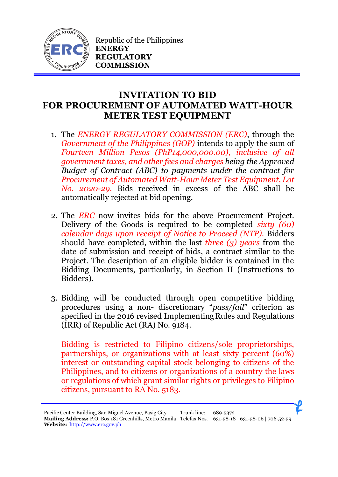

Republic of the Philippines **ENERGY REGULATORY COMMISSION**

## **INVITATION TO BID FOR PROCUREMENT OF AUTOMATED WATT-HOUR METER TEST EQUIPMENT**

- 1. The *ENERGY REGULATORY COMMISSION (ERC)*, through the *Government of the Philippines (GOP)* intends to apply the sum of *Fourteen Million Pesos (PhP14,000,000.00), inclusive of all government taxes, and other fees and charges being the Approved Budget of Contract (ABC) to payments under the contract for Procurement of Automated Watt-Hour Meter Test Equipment, Lot No. 2020-29.* Bids received in excess of the ABC shall be automatically rejected at bid opening.
- 2. The *ERC* now invites bids for the above Procurement Project. Delivery of the Goods is required to be completed *sixty (60) calendar days upon receipt of Notice to Proceed (NTP).* Bidders should have completed, within the last *three (3) years* from the date of submission and receipt of bids, a contract similar to the Project. The description of an eligible bidder is contained in the Bidding Documents, particularly, in Section II (Instructions to Bidders).
- 3. Bidding will be conducted through open competitive bidding procedures using a non- discretionary "*pass/fail*" criterion as specified in the 2016 revised Implementing Rules and Regulations (IRR) of Republic Act (RA) No. 9184.

Bidding is restricted to Filipino citizens/sole proprietorships, partnerships, or organizations with at least sixty percent (60%) interest or outstanding capital stock belonging to citizens of the Philippines, and to citizens or organizations of a country the laws or regulations of which grant similar rights or privileges to Filipino citizens, pursuant to RA No. 5183.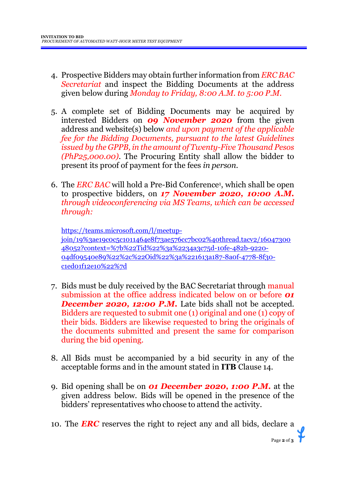- 4. Prospective Bidders may obtain further information from *ERC BAC Secretariat* and inspect the Bidding Documents at the address given below during *Monday to Friday, 8:00 A.M. to 5:00 P.M*.
- 5. A complete set of Bidding Documents may be acquired by interested Bidders on *09 November 2020* from the given address and website(s) below *and upon payment of the applicable fee for the Bidding Documents, pursuant to the latest Guidelines issued by the GPPB, in the amount of Twenty-Five Thousand Pesos (PhP25,000.00)*. The Procuring Entity shall allow the bidder to present its proof of payment for the fees *in person.*
- 6. The *ERC BAC* will hold a Pre-Bid Conference<sup>1</sup> , which shall be open to prospective bidders, on *17 November 2020, 10:00 A.M. through videoconferencing via MS Teams, which can be accessed through:*

[https://teams.microsoft.com/l/meetup](https://teams.microsoft.com/l/meetup-join/19%3ae19c0c5c1011464e8f73ae576cc7bc02%40thread.tacv2/1604730048052?context=%7b%22Tid%22%3a%2234a3c75d-10fe-482b-9220-04df09540e89%22%2c%22Oid%22%3a%221613a187-8a0f-4778-8f30-c1ed01f12e10%22%7d)[join/19%3ae19c0c5c1011464e8f73ae576cc7bc02%40thread.tacv2/16047300](https://teams.microsoft.com/l/meetup-join/19%3ae19c0c5c1011464e8f73ae576cc7bc02%40thread.tacv2/1604730048052?context=%7b%22Tid%22%3a%2234a3c75d-10fe-482b-9220-04df09540e89%22%2c%22Oid%22%3a%221613a187-8a0f-4778-8f30-c1ed01f12e10%22%7d) [48052?context=%7b%22Tid%22%3a%2234a3c75d-10fe-482b-9220-](https://teams.microsoft.com/l/meetup-join/19%3ae19c0c5c1011464e8f73ae576cc7bc02%40thread.tacv2/1604730048052?context=%7b%22Tid%22%3a%2234a3c75d-10fe-482b-9220-04df09540e89%22%2c%22Oid%22%3a%221613a187-8a0f-4778-8f30-c1ed01f12e10%22%7d) [04df09540e89%22%2c%22Oid%22%3a%221613a187-8a0f-4778-8f30](https://teams.microsoft.com/l/meetup-join/19%3ae19c0c5c1011464e8f73ae576cc7bc02%40thread.tacv2/1604730048052?context=%7b%22Tid%22%3a%2234a3c75d-10fe-482b-9220-04df09540e89%22%2c%22Oid%22%3a%221613a187-8a0f-4778-8f30-c1ed01f12e10%22%7d) [c1ed01f12e10%22%7d](https://teams.microsoft.com/l/meetup-join/19%3ae19c0c5c1011464e8f73ae576cc7bc02%40thread.tacv2/1604730048052?context=%7b%22Tid%22%3a%2234a3c75d-10fe-482b-9220-04df09540e89%22%2c%22Oid%22%3a%221613a187-8a0f-4778-8f30-c1ed01f12e10%22%7d)

- 7. Bids must be duly received by the BAC Secretariat through manual submission at the office address indicated below on or before *01*  **December 2020, 12:00 P.M.** Late bids shall not be accepted. Bidders are requested to submit one (1) original and one (1) copy of their bids. Bidders are likewise requested to bring the originals of the documents submitted and present the same for comparison during the bid opening.
- 8. All Bids must be accompanied by a bid security in any of the acceptable forms and in the amount stated in **ITB** Clause 14.
- 9. Bid opening shall be on *01 December 2020, 1:00 P.M.* at the given address below. Bids will be opened in the presence of the bidders' representatives who choose to attend the activity.
- 10. The *ERC* reserves the right to reject any and all bids, declare a